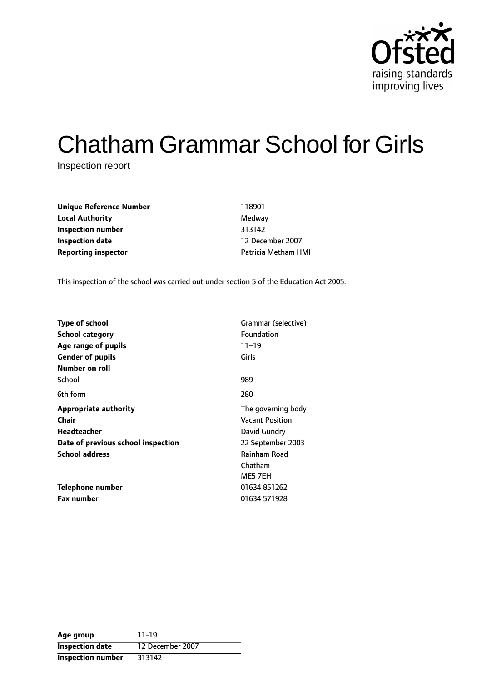

# Chatham Grammar School for Girls

Inspection report

| <b>Unique Reference Number</b> | 118901                     |  |
|--------------------------------|----------------------------|--|
| <b>Local Authority</b>         | Medway                     |  |
| Inspection number              | 313142                     |  |
| <b>Inspection date</b>         | 12 December 2007           |  |
| <b>Reporting inspector</b>     | <b>Patricia Metham HMI</b> |  |

This inspection of the school was carried out under section 5 of the Education Act 2005.

| <b>Type of school</b><br><b>School category</b><br>Age range of pupils | Grammar (selective)<br>Foundation<br>$11 - 19$ |
|------------------------------------------------------------------------|------------------------------------------------|
| <b>Gender of pupils</b>                                                | Girls                                          |
| Number on roll                                                         |                                                |
| School                                                                 | 989                                            |
| 6th form                                                               | 280                                            |
| <b>Appropriate authority</b>                                           | The governing body                             |
| Chair                                                                  | <b>Vacant Position</b>                         |
| <b>Headteacher</b>                                                     | David Gundry                                   |
| Date of previous school inspection                                     | 22 September 2003                              |
| <b>School address</b>                                                  | <b>Rainham Road</b>                            |
|                                                                        | Chatham                                        |
|                                                                        | ME5 7EH                                        |
| Telephone number                                                       | 01634 851262                                   |
| <b>Fax number</b>                                                      | 01634 571928                                   |

| Age group                | $11 - 19$        |
|--------------------------|------------------|
| <b>Inspection date</b>   | 12 December 2007 |
| <b>Inspection number</b> | 313142           |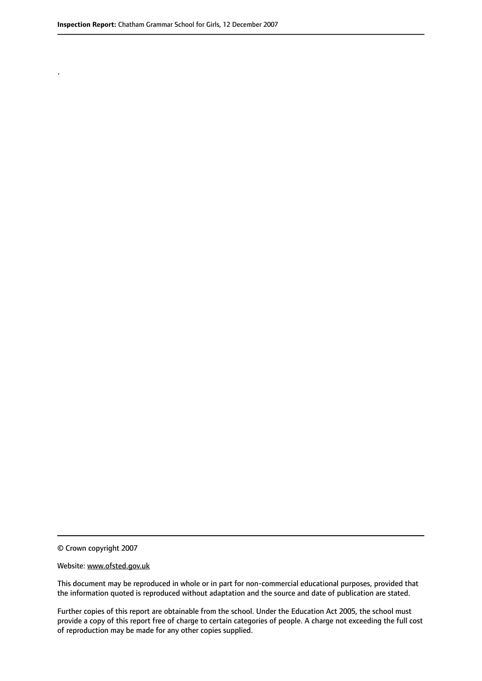.

© Crown copyright 2007

#### Website: www.ofsted.gov.uk

This document may be reproduced in whole or in part for non-commercial educational purposes, provided that the information quoted is reproduced without adaptation and the source and date of publication are stated.

Further copies of this report are obtainable from the school. Under the Education Act 2005, the school must provide a copy of this report free of charge to certain categories of people. A charge not exceeding the full cost of reproduction may be made for any other copies supplied.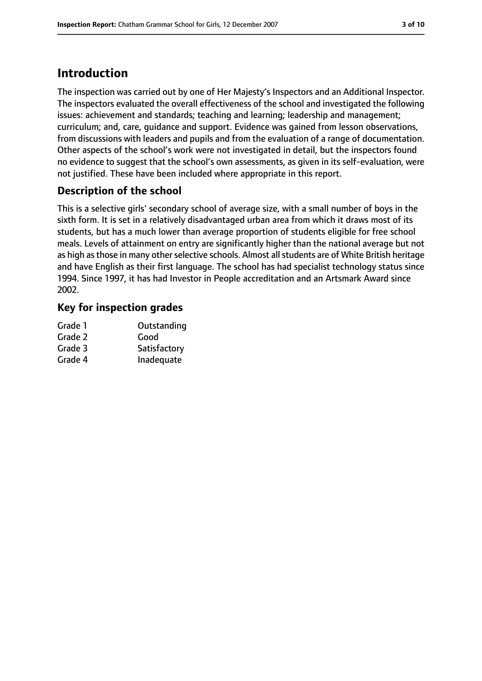# **Introduction**

The inspection was carried out by one of Her Majesty's Inspectors and an Additional Inspector. The inspectors evaluated the overall effectiveness of the school and investigated the following issues: achievement and standards; teaching and learning; leadership and management; curriculum; and, care, guidance and support. Evidence was gained from lesson observations, from discussions with leaders and pupils and from the evaluation of a range of documentation. Other aspects of the school's work were not investigated in detail, but the inspectors found no evidence to suggest that the school's own assessments, as given in its self-evaluation, were not justified. These have been included where appropriate in this report.

## **Description of the school**

This is a selective girls' secondary school of average size, with a small number of boys in the sixth form. It is set in a relatively disadvantaged urban area from which it draws most of its students, but has a much lower than average proportion of students eligible for free school meals. Levels of attainment on entry are significantly higher than the national average but not as high as those in many other selective schools. Almost all students are of White British heritage and have English as their first language. The school has had specialist technology status since 1994. Since 1997, it has had Investor in People accreditation and an Artsmark Award since 2002.

#### **Key for inspection grades**

| Grade 1 | Outstanding  |
|---------|--------------|
| Grade 2 | Good         |
| Grade 3 | Satisfactory |
| Grade 4 | Inadequate   |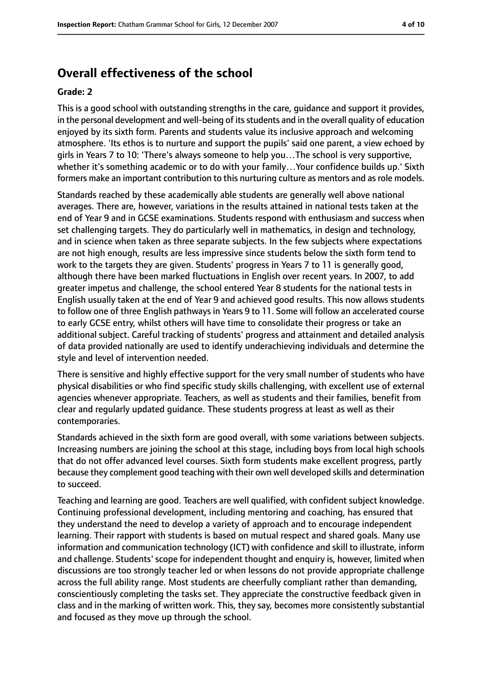# **Overall effectiveness of the school**

#### **Grade: 2**

This is a good school with outstanding strengths in the care, guidance and support it provides, in the personal development and well-being of its students and in the overall quality of education enjoyed by its sixth form. Parents and students value its inclusive approach and welcoming atmosphere. 'Its ethos is to nurture and support the pupils' said one parent, a view echoed by girls in Years 7 to 10: 'There's always someone to help you…The school is very supportive, whether it's something academic or to do with your family…Your confidence builds up.' Sixth formers make an important contribution to this nurturing culture as mentors and as role models.

Standards reached by these academically able students are generally well above national averages. There are, however, variations in the results attained in national tests taken at the end of Year 9 and in GCSE examinations. Students respond with enthusiasm and success when set challenging targets. They do particularly well in mathematics, in design and technology, and in science when taken as three separate subjects. In the few subjects where expectations are not high enough, results are less impressive since students below the sixth form tend to work to the targets they are given. Students' progress in Years 7 to 11 is generally good, although there have been marked fluctuations in English over recent years. In 2007, to add greater impetus and challenge, the school entered Year 8 students for the national tests in English usually taken at the end of Year 9 and achieved good results. This now allows students to follow one of three English pathways in Years 9 to 11. Some will follow an accelerated course to early GCSE entry, whilst others will have time to consolidate their progress or take an additional subject. Careful tracking of students' progress and attainment and detailed analysis of data provided nationally are used to identify underachieving individuals and determine the style and level of intervention needed.

There is sensitive and highly effective support for the very small number of students who have physical disabilities or who find specific study skills challenging, with excellent use of external agencies whenever appropriate. Teachers, as well as students and their families, benefit from clear and regularly updated guidance. These students progress at least as well as their contemporaries.

Standards achieved in the sixth form are good overall, with some variations between subjects. Increasing numbers are joining the school at this stage, including boys from local high schools that do not offer advanced level courses. Sixth form students make excellent progress, partly because they complement good teaching with their own well developed skills and determination to succeed.

Teaching and learning are good. Teachers are well qualified, with confident subject knowledge. Continuing professional development, including mentoring and coaching, has ensured that they understand the need to develop a variety of approach and to encourage independent learning. Their rapport with students is based on mutual respect and shared goals. Many use information and communication technology (ICT) with confidence and skill to illustrate, inform and challenge. Students' scope for independent thought and enquiry is, however, limited when discussions are too strongly teacher led or when lessons do not provide appropriate challenge across the full ability range. Most students are cheerfully compliant rather than demanding, conscientiously completing the tasks set. They appreciate the constructive feedback given in class and in the marking of written work. This, they say, becomes more consistently substantial and focused as they move up through the school.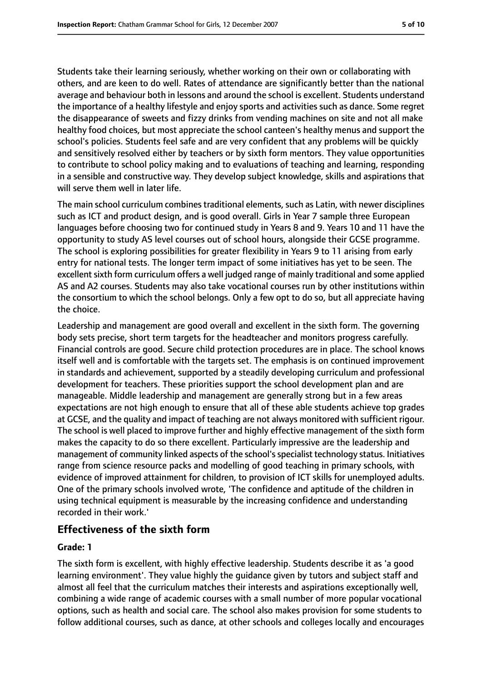Students take their learning seriously, whether working on their own or collaborating with others, and are keen to do well. Rates of attendance are significantly better than the national average and behaviour both in lessons and around the school is excellent. Students understand the importance of a healthy lifestyle and enjoy sports and activities such as dance. Some regret the disappearance of sweets and fizzy drinks from vending machines on site and not all make healthy food choices, but most appreciate the school canteen's healthy menus and support the school's policies. Students feel safe and are very confident that any problems will be quickly and sensitively resolved either by teachers or by sixth form mentors. They value opportunities to contribute to school policy making and to evaluations of teaching and learning, responding in a sensible and constructive way. They develop subject knowledge, skills and aspirations that will serve them well in later life.

The main school curriculum combines traditional elements, such as Latin, with newer disciplines such as ICT and product design, and is good overall. Girls in Year 7 sample three European languages before choosing two for continued study in Years 8 and 9. Years 10 and 11 have the opportunity to study AS level courses out of school hours, alongside their GCSE programme. The school is exploring possibilities for greater flexibility in Years 9 to 11 arising from early entry for national tests. The longer term impact of some initiatives has yet to be seen. The excellent sixth form curriculum offers a well judged range of mainly traditional and some applied AS and A2 courses. Students may also take vocational courses run by other institutions within the consortium to which the school belongs. Only a few opt to do so, but all appreciate having the choice.

Leadership and management are good overall and excellent in the sixth form. The governing body sets precise, short term targets for the headteacher and monitors progress carefully. Financial controls are good. Secure child protection procedures are in place. The school knows itself well and is comfortable with the targets set. The emphasis is on continued improvement in standards and achievement, supported by a steadily developing curriculum and professional development for teachers. These priorities support the school development plan and are manageable. Middle leadership and management are generally strong but in a few areas expectations are not high enough to ensure that all of these able students achieve top grades at GCSE, and the quality and impact of teaching are not always monitored with sufficient rigour. The school is well placed to improve further and highly effective management of the sixth form makes the capacity to do so there excellent. Particularly impressive are the leadership and management of community linked aspects of the school'sspecialist technology status. Initiatives range from science resource packs and modelling of good teaching in primary schools, with evidence of improved attainment for children, to provision of ICT skills for unemployed adults. One of the primary schools involved wrote, 'The confidence and aptitude of the children in using technical equipment is measurable by the increasing confidence and understanding recorded in their work.'

## **Effectiveness of the sixth form**

#### **Grade: 1**

The sixth form is excellent, with highly effective leadership. Students describe it as 'a good learning environment'. They value highly the guidance given by tutors and subject staff and almost all feel that the curriculum matches their interests and aspirations exceptionally well, combining a wide range of academic courses with a small number of more popular vocational options, such as health and social care. The school also makes provision for some students to follow additional courses, such as dance, at other schools and colleges locally and encourages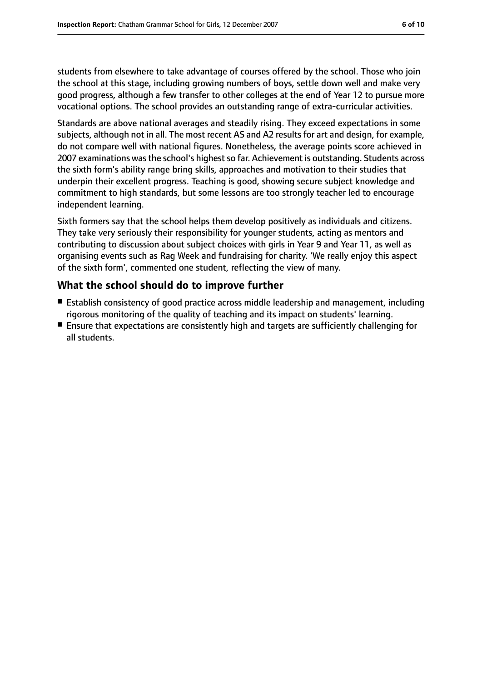students from elsewhere to take advantage of courses offered by the school. Those who join the school at this stage, including growing numbers of boys, settle down well and make very good progress, although a few transfer to other colleges at the end of Year 12 to pursue more vocational options. The school provides an outstanding range of extra-curricular activities.

Standards are above national averages and steadily rising. They exceed expectations in some subjects, although not in all. The most recent AS and A2 results for art and design, for example, do not compare well with national figures. Nonetheless, the average points score achieved in 2007 examinations was the school's highest so far. Achievement is outstanding. Students across the sixth form's ability range bring skills, approaches and motivation to their studies that underpin their excellent progress. Teaching is good, showing secure subject knowledge and commitment to high standards, but some lessons are too strongly teacher led to encourage independent learning.

Sixth formers say that the school helps them develop positively as individuals and citizens. They take very seriously their responsibility for younger students, acting as mentors and contributing to discussion about subject choices with girls in Year 9 and Year 11, as well as organising events such as Rag Week and fundraising for charity. 'We really enjoy this aspect of the sixth form', commented one student, reflecting the view of many.

## **What the school should do to improve further**

- Establish consistency of good practice across middle leadership and management, including rigorous monitoring of the quality of teaching and its impact on students' learning.
- Ensure that expectations are consistently high and targets are sufficiently challenging for all students.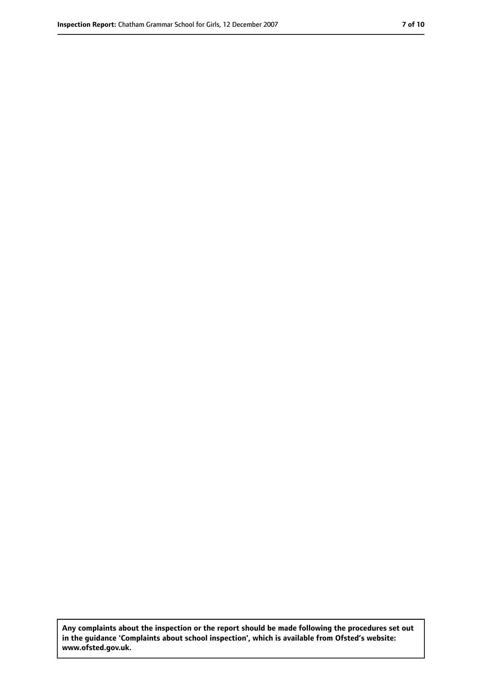**Any complaints about the inspection or the report should be made following the procedures set out in the guidance 'Complaints about school inspection', which is available from Ofsted's website: www.ofsted.gov.uk.**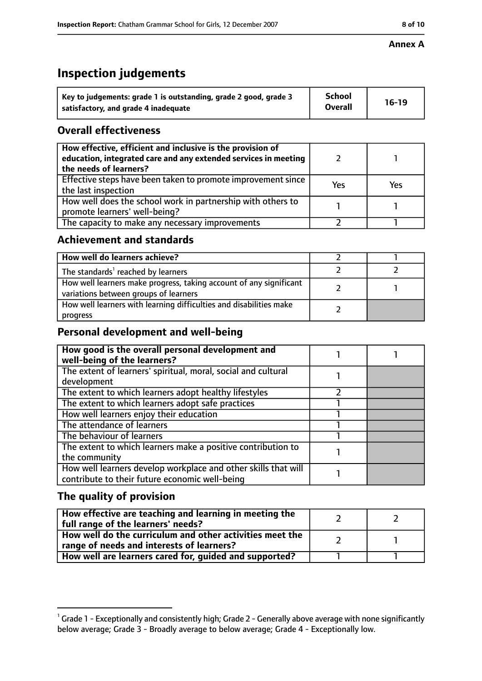#### **Annex A**

# **Inspection judgements**

| Key to judgements: grade 1 is outstanding, grade 2 good, grade 3 | <b>School</b>  | $16-19$ |
|------------------------------------------------------------------|----------------|---------|
| satisfactory, and grade 4 inadequate                             | <b>Overall</b> |         |

## **Overall effectiveness**

| How effective, efficient and inclusive is the provision of<br>education, integrated care and any extended services in meeting<br>the needs of learners? |     |     |
|---------------------------------------------------------------------------------------------------------------------------------------------------------|-----|-----|
| Effective steps have been taken to promote improvement since<br>the last inspection                                                                     | Yes | Yes |
| How well does the school work in partnership with others to<br>promote learners' well-being?                                                            |     |     |
| The capacity to make any necessary improvements                                                                                                         |     |     |

#### **Achievement and standards**

| How well do learners achieve?                                                                               |  |
|-------------------------------------------------------------------------------------------------------------|--|
| The standards <sup>1</sup> reached by learners                                                              |  |
| How well learners make progress, taking account of any significant<br>variations between groups of learners |  |
| How well learners with learning difficulties and disabilities make<br>progress                              |  |

## **Personal development and well-being**

| How good is the overall personal development and<br>well-being of the learners? |  |
|---------------------------------------------------------------------------------|--|
| The extent of learners' spiritual, moral, social and cultural                   |  |
| development                                                                     |  |
| The extent to which learners adopt healthy lifestyles                           |  |
| The extent to which learners adopt safe practices                               |  |
| How well learners enjoy their education                                         |  |
| The attendance of learners                                                      |  |
| The behaviour of learners                                                       |  |
| The extent to which learners make a positive contribution to                    |  |
| the community                                                                   |  |
| How well learners develop workplace and other skills that will                  |  |
| contribute to their future economic well-being                                  |  |

## **The quality of provision**

| How effective are teaching and learning in meeting the<br>full range of the learners' needs?          |  |
|-------------------------------------------------------------------------------------------------------|--|
| How well do the curriculum and other activities meet the<br>range of needs and interests of learners? |  |
| How well are learners cared for, guided and supported?                                                |  |

 $^1$  Grade 1 - Exceptionally and consistently high; Grade 2 - Generally above average with none significantly below average; Grade 3 - Broadly average to below average; Grade 4 - Exceptionally low.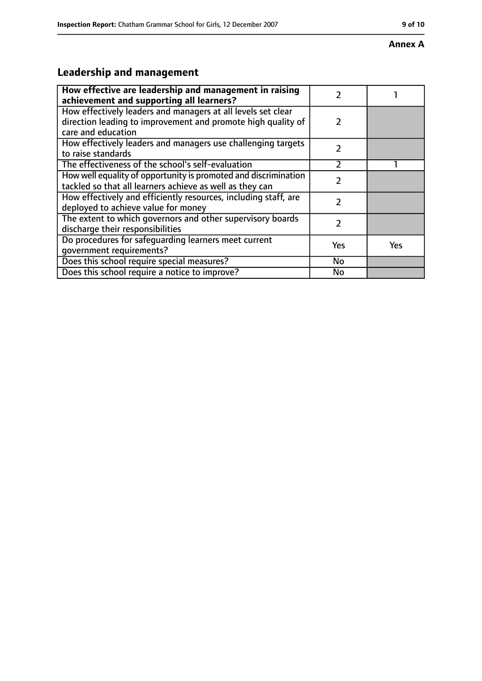#### **Annex A**

# **Leadership and management**

| How effective are leadership and management in raising<br>achievement and supporting all learners?                                                 | 7              |     |
|----------------------------------------------------------------------------------------------------------------------------------------------------|----------------|-----|
| How effectively leaders and managers at all levels set clear<br>direction leading to improvement and promote high quality of<br>care and education | $\mathcal{P}$  |     |
| How effectively leaders and managers use challenging targets<br>to raise standards                                                                 | $\mathcal{P}$  |     |
| The effectiveness of the school's self-evaluation                                                                                                  | $\mathfrak{p}$ |     |
| How well equality of opportunity is promoted and discrimination<br>tackled so that all learners achieve as well as they can                        | 7              |     |
| How effectively and efficiently resources, including staff, are<br>deployed to achieve value for money                                             | 7              |     |
| The extent to which governors and other supervisory boards<br>discharge their responsibilities                                                     | 2              |     |
| Do procedures for safeguarding learners meet current<br>qovernment requirements?                                                                   | Yes            | Yes |
| Does this school require special measures?                                                                                                         | No             |     |
| Does this school require a notice to improve?                                                                                                      | <b>No</b>      |     |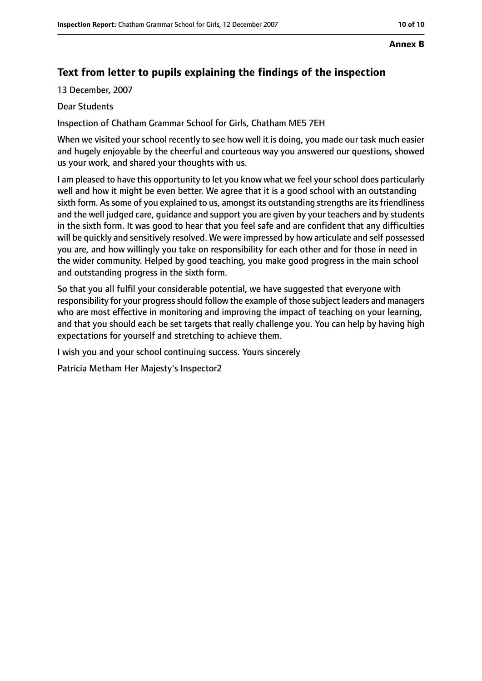#### **Annex B**

## **Text from letter to pupils explaining the findings of the inspection**

13 December, 2007

#### Dear Students

Inspection of Chatham Grammar School for Girls, Chatham ME5 7EH

When we visited your school recently to see how well it is doing, you made our task much easier and hugely enjoyable by the cheerful and courteous way you answered our questions, showed us your work, and shared your thoughts with us.

I am pleased to have this opportunity to let you know what we feel your school does particularly well and how it might be even better. We agree that it is a good school with an outstanding sixth form. As some of you explained to us, amongst its outstanding strengths are its friendliness and the well judged care, guidance and support you are given by your teachers and by students in the sixth form. It was good to hear that you feel safe and are confident that any difficulties will be quickly and sensitively resolved. We were impressed by how articulate and self possessed you are, and how willingly you take on responsibility for each other and for those in need in the wider community. Helped by good teaching, you make good progress in the main school and outstanding progress in the sixth form.

So that you all fulfil your considerable potential, we have suggested that everyone with responsibility for your progress should follow the example of those subject leaders and managers who are most effective in monitoring and improving the impact of teaching on your learning, and that you should each be set targets that really challenge you. You can help by having high expectations for yourself and stretching to achieve them.

I wish you and your school continuing success. Yours sincerely

Patricia Metham Her Majesty's Inspector2